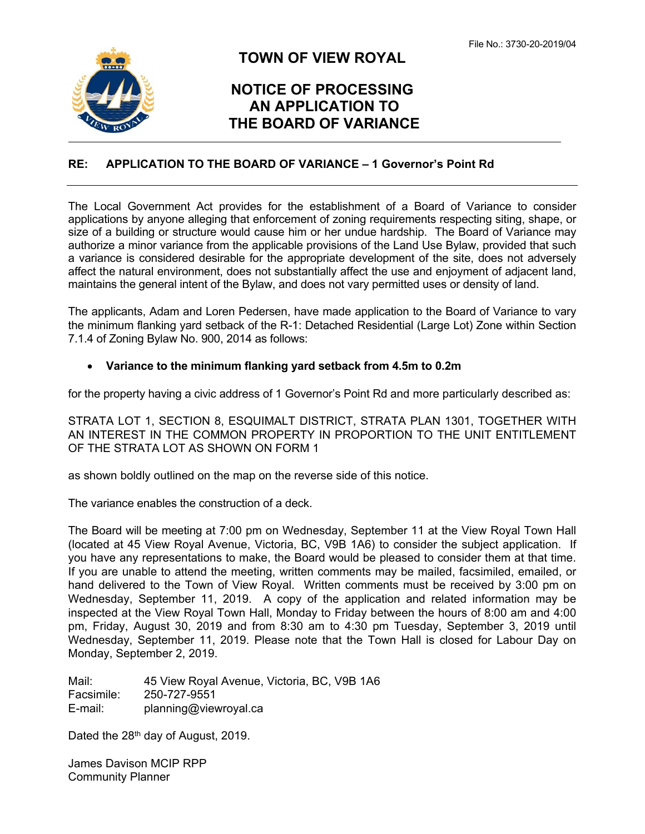

## **TOWN OF VIEW ROYAL**

## **NOTICE OF PROCESSING AN APPLICATION TO THE BOARD OF VARIANCE**

## **RE: APPLICATION TO THE BOARD OF VARIANCE – 1 Governor's Point Rd**

The Local Government Act provides for the establishment of a Board of Variance to consider applications by anyone alleging that enforcement of zoning requirements respecting siting, shape, or size of a building or structure would cause him or her undue hardship. The Board of Variance may authorize a minor variance from the applicable provisions of the Land Use Bylaw, provided that such a variance is considered desirable for the appropriate development of the site, does not adversely affect the natural environment, does not substantially affect the use and enjoyment of adjacent land, maintains the general intent of the Bylaw, and does not vary permitted uses or density of land.

The applicants, Adam and Loren Pedersen, have made application to the Board of Variance to vary the minimum flanking yard setback of the R-1: Detached Residential (Large Lot) Zone within Section 7.1.4 of Zoning Bylaw No. 900, 2014 as follows:

## **Variance to the minimum flanking yard setback from 4.5m to 0.2m**

for the property having a civic address of 1 Governor's Point Rd and more particularly described as:

STRATA LOT 1, SECTION 8, ESQUIMALT DISTRICT, STRATA PLAN 1301, TOGETHER WITH AN INTEREST IN THE COMMON PROPERTY IN PROPORTION TO THE UNIT ENTITLEMENT OF THE STRATA LOT AS SHOWN ON FORM 1

as shown boldly outlined on the map on the reverse side of this notice.

The variance enables the construction of a deck.

The Board will be meeting at 7:00 pm on Wednesday, September 11 at the View Royal Town Hall (located at 45 View Royal Avenue, Victoria, BC, V9B 1A6) to consider the subject application. If you have any representations to make, the Board would be pleased to consider them at that time. If you are unable to attend the meeting, written comments may be mailed, facsimiled, emailed, or hand delivered to the Town of View Royal. Written comments must be received by 3:00 pm on Wednesday, September 11, 2019. A copy of the application and related information may be inspected at the View Royal Town Hall, Monday to Friday between the hours of 8:00 am and 4:00 pm, Friday, August 30, 2019 and from 8:30 am to 4:30 pm Tuesday, September 3, 2019 until Wednesday, September 11, 2019. Please note that the Town Hall is closed for Labour Day on Monday, September 2, 2019.

Mail: 45 View Royal Avenue, Victoria, BC, V9B 1A6 Facsimile: 250-727-9551 E-mail: planning@viewroyal.ca

Dated the 28<sup>th</sup> day of August, 2019.

James Davison MCIP RPP Community Planner